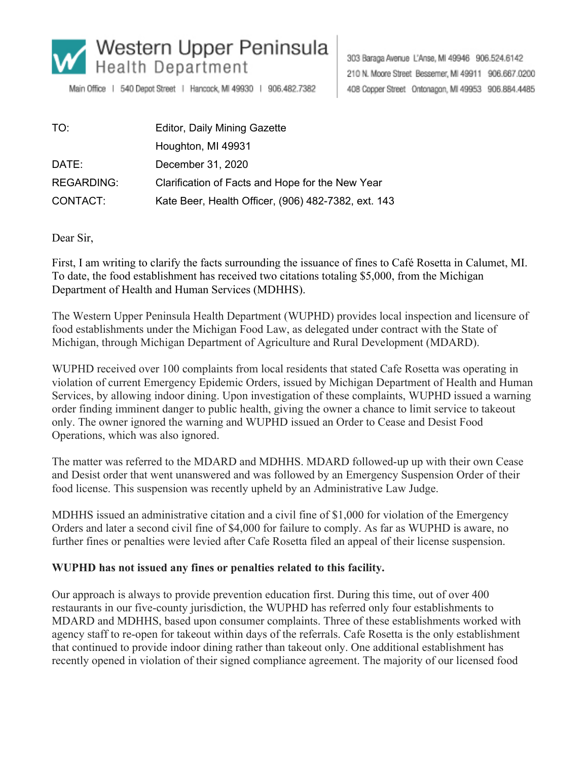

Main Office | 540 Depot Street | Hancock, MI 49930 | 906.482.7382

303 Baraga Avenue L'Anse, MI 49946 906.524.6142 210 N. Moore Street Bessemer, MI 49911 906.667.0200 408 Copper Street Ontonagon, MI 49953 906.884.4485

| TO:               | Editor, Daily Mining Gazette                        |
|-------------------|-----------------------------------------------------|
|                   | Houghton, MI 49931                                  |
| DATE:             | December 31, 2020                                   |
| <b>REGARDING:</b> | Clarification of Facts and Hope for the New Year    |
| CONTACT:          | Kate Beer, Health Officer, (906) 482-7382, ext. 143 |

Dear Sir,

First, I am writing to clarify the facts surrounding the issuance of fines to Café Rosetta in Calumet, MI. To date, the food establishment has received two citations totaling \$5,000, from the Michigan Department of Health and Human Services (MDHHS).

The Western Upper Peninsula Health Department (WUPHD) provides local inspection and licensure of food establishments under the Michigan Food Law, as delegated under contract with the State of Michigan, through Michigan Department of Agriculture and Rural Development (MDARD).

WUPHD received over 100 complaints from local residents that stated Cafe Rosetta was operating in violation of current Emergency Epidemic Orders, issued by Michigan Department of Health and Human Services, by allowing indoor dining. Upon investigation of these complaints, WUPHD issued a warning order finding imminent danger to public health, giving the owner a chance to limit service to takeout only. The owner ignored the warning and WUPHD issued an Order to Cease and Desist Food Operations, which was also ignored.

The matter was referred to the MDARD and MDHHS. MDARD followed-up up with their own Cease and Desist order that went unanswered and was followed by an Emergency Suspension Order of their food license. This suspension was recently upheld by an Administrative Law Judge.

MDHHS issued an administrative citation and a civil fine of \$1,000 for violation of the Emergency Orders and later a second civil fine of \$4,000 for failure to comply. As far as WUPHD is aware, no further fines or penalties were levied after Cafe Rosetta filed an appeal of their license suspension.

## **WUPHD has not issued any fines or penalties related to this facility.**

Our approach is always to provide prevention education first. During this time, out of over 400 restaurants in our five-county jurisdiction, the WUPHD has referred only four establishments to MDARD and MDHHS, based upon consumer complaints. Three of these establishments worked with agency staff to re-open for takeout within days of the referrals. Cafe Rosetta is the only establishment that continued to provide indoor dining rather than takeout only. One additional establishment has recently opened in violation of their signed compliance agreement. The majority of our licensed food